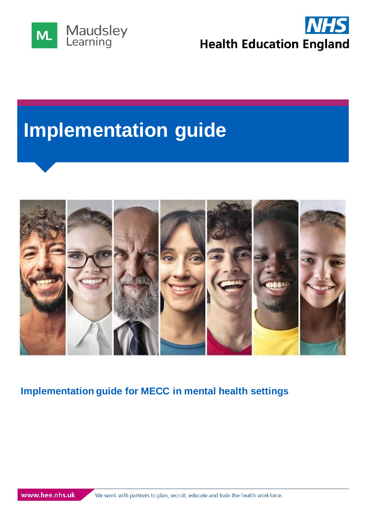



# **Implementation guide**



## **Implementation guide for MECC in mental health settings**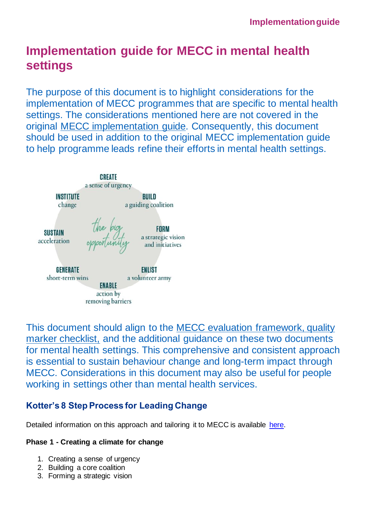# **Implementation guide for MECC in mental health settings**

The purpose of this document is to highlight considerations for the implementation of MECC programmes that are specific to mental health settings. The considerations mentioned here are not covered in the original [MECC implementation guide.](https://assets.publishing.service.gov.uk/government/uploads/system/uploads/attachment_data/file/769488/MECC_Implememenation_guide_v2.pdf) Consequently, this document should be used in addition to the original MECC implementation guide to help programme leads refine their efforts in mental health settings.



This document should align to the [MECC evaluation framework,](https://www.makingeverycontactcount.co.uk/media/1034/making_every__contact_count__mecc__evaluation_framework_march_2016.pdf) [quality](https://assets.publishing.service.gov.uk/government/uploads/system/uploads/attachment_data/file/769489/MECC_Training_quality_marker_checklist_updates.pdf)  [marker checklist,](https://assets.publishing.service.gov.uk/government/uploads/system/uploads/attachment_data/file/769489/MECC_Training_quality_marker_checklist_updates.pdf) and the additional guidance on these two documents for mental health settings. This comprehensive and consistent approach is essential to sustain behaviour change and long-term impact through MECC. Considerations in this document may also be useful for people working in settings other than mental health services.

### **Kotter's 8 Step Process for Leading Change**

Detailed information on this approach and tailoring it to MECC is available [here.](https://www.kotterinc.com/8-steps-process-for-leading-change/)

#### **Phase 1 - Creating a climate for change**

- 1. Creating a sense of urgency
- 2. Building a core coalition
- 3. Forming a strategic vision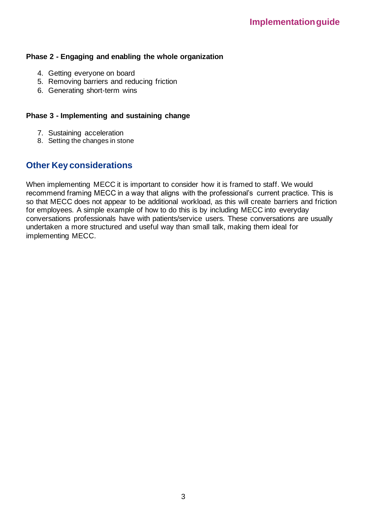#### **Phase 2 - Engaging and enabling the whole organization**

- 4. Getting everyone on board
- 5. Removing barriers and reducing friction
- 6. Generating short-term wins

#### **Phase 3 - Implementing and sustaining change**

- 7. Sustaining acceleration
- 8. Setting the changes in stone

#### **Other Key considerations**

When implementing MECC it is important to consider how it is framed to staff. We would recommend framing MECC in a way that aligns with the professional's current practice. This is so that MECC does not appear to be additional workload, as this will create barriers and friction for employees. A simple example of how to do this is by including MECC into everyday conversations professionals have with patients/service users. These conversations are usually undertaken a more structured and useful way than small talk, making them ideal for implementing MECC.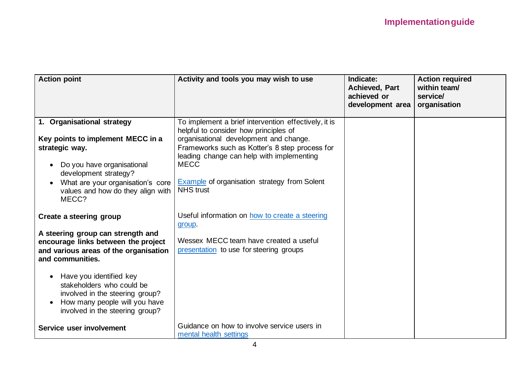| <b>Action point</b>                                                                                                                                                                                                                      | Activity and tools you may wish to use                                                                                                                                                                                                                                                                                    | Indicate:<br><b>Achieved, Part</b><br>achieved or<br>development area | <b>Action required</b><br>within team/<br>service/<br>organisation |
|------------------------------------------------------------------------------------------------------------------------------------------------------------------------------------------------------------------------------------------|---------------------------------------------------------------------------------------------------------------------------------------------------------------------------------------------------------------------------------------------------------------------------------------------------------------------------|-----------------------------------------------------------------------|--------------------------------------------------------------------|
| 1. Organisational strategy<br>Key points to implement MECC in a<br>strategic way.<br>Do you have organisational<br>$\bullet$<br>development strategy?<br>What are your organisation's core<br>values and how do they align with<br>MECC? | To implement a brief intervention effectively, it is<br>helpful to consider how principles of<br>organisational development and change.<br>Frameworks such as Kotter's 8 step process for<br>leading change can help with implementing<br><b>MECC</b><br>Example of organisation strategy from Solent<br><b>NHS trust</b> |                                                                       |                                                                    |
| Create a steering group<br>A steering group can strength and<br>encourage links between the project<br>and various areas of the organisation<br>and communities.<br>Have you identified key<br>$\bullet$                                 | Useful information on how to create a steering<br>group.<br>Wessex MECC team have created a useful<br>presentation to use for steering groups                                                                                                                                                                             |                                                                       |                                                                    |
| stakeholders who could be<br>involved in the steering group?<br>How many people will you have<br>$\bullet$<br>involved in the steering group?<br>Service user involvement                                                                | Guidance on how to involve service users in<br>mental health settings                                                                                                                                                                                                                                                     |                                                                       |                                                                    |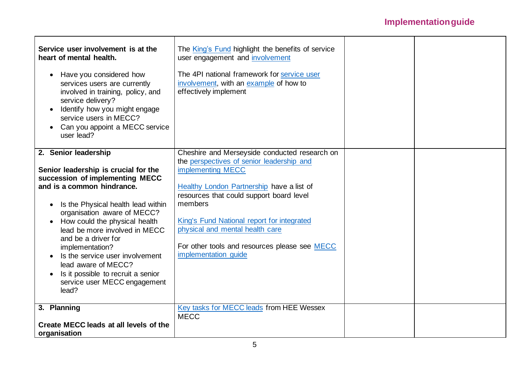| Service user involvement is at the<br>heart of mental health.<br>Have you considered how<br>$\bullet$<br>services users are currently<br>involved in training, policy, and<br>service delivery?<br>Identify how you might engage<br>service users in MECC?<br>Can you appoint a MECC service<br>user lead?                                                                                                                                                           | The King's Fund highlight the benefits of service<br>user engagement and involvement<br>The 4PI national framework for service user<br>involvement, with an example of how to<br>effectively implement                                                                                                                                                                        |  |
|----------------------------------------------------------------------------------------------------------------------------------------------------------------------------------------------------------------------------------------------------------------------------------------------------------------------------------------------------------------------------------------------------------------------------------------------------------------------|-------------------------------------------------------------------------------------------------------------------------------------------------------------------------------------------------------------------------------------------------------------------------------------------------------------------------------------------------------------------------------|--|
| 2. Senior leadership<br>Senior leadership is crucial for the<br>succession of implementing MECC<br>and is a common hindrance.<br>Is the Physical health lead within<br>$\bullet$<br>organisation aware of MECC?<br>How could the physical health<br>lead be more involved in MECC<br>and be a driver for<br>implementation?<br>Is the service user involvement<br>lead aware of MECC?<br>Is it possible to recruit a senior<br>service user MECC engagement<br>lead? | Cheshire and Merseyside conducted research on<br>the perspectives of senior leadership and<br>implementing MECC<br>Healthy London Partnership have a list of<br>resources that could support board level<br>members<br>King's Fund National report for integrated<br>physical and mental health care<br>For other tools and resources please see MECC<br>implementation guide |  |
| 3. Planning<br>Create MECC leads at all levels of the<br>organisation                                                                                                                                                                                                                                                                                                                                                                                                | Key tasks for MECC leads from HEE Wessex<br><b>MECC</b>                                                                                                                                                                                                                                                                                                                       |  |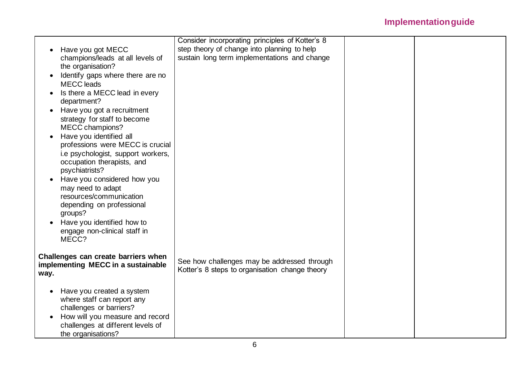|                                              | Consider incorporating principles of Kotter's 8 |  |
|----------------------------------------------|-------------------------------------------------|--|
| Have you got MECC                            | step theory of change into planning to help     |  |
| champions/leads at all levels of             | sustain long term implementations and change    |  |
| the organisation?                            |                                                 |  |
| Identify gaps where there are no             |                                                 |  |
| <b>MECC</b> leads                            |                                                 |  |
| Is there a MECC lead in every                |                                                 |  |
| department?                                  |                                                 |  |
| Have you got a recruitment<br>$\bullet$      |                                                 |  |
| strategy for staff to become                 |                                                 |  |
| MECC champions?                              |                                                 |  |
| Have you identified all                      |                                                 |  |
| professions were MECC is crucial             |                                                 |  |
| i.e psychologist, support workers,           |                                                 |  |
| occupation therapists, and                   |                                                 |  |
| psychiatrists?                               |                                                 |  |
| Have you considered how you<br>$\bullet$     |                                                 |  |
| may need to adapt                            |                                                 |  |
| resources/communication                      |                                                 |  |
| depending on professional<br>groups?         |                                                 |  |
| Have you identified how to                   |                                                 |  |
| engage non-clinical staff in                 |                                                 |  |
| MECC?                                        |                                                 |  |
|                                              |                                                 |  |
| Challenges can create barriers when          |                                                 |  |
| implementing MECC in a sustainable           | See how challenges may be addressed through     |  |
| way.                                         | Kotter's 8 steps to organisation change theory  |  |
|                                              |                                                 |  |
| Have you created a system<br>$\bullet$       |                                                 |  |
| where staff can report any                   |                                                 |  |
| challenges or barriers?                      |                                                 |  |
| How will you measure and record<br>$\bullet$ |                                                 |  |
| challenges at different levels of            |                                                 |  |
| the organisations?                           |                                                 |  |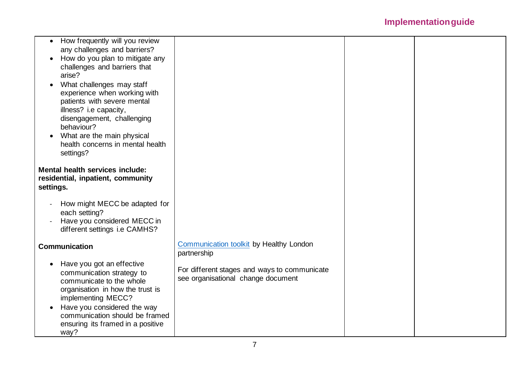|           | How frequently will you review         |                                              |  |
|-----------|----------------------------------------|----------------------------------------------|--|
|           | any challenges and barriers?           |                                              |  |
|           | How do you plan to mitigate any        |                                              |  |
|           | challenges and barriers that           |                                              |  |
|           | arise?                                 |                                              |  |
|           | What challenges may staff              |                                              |  |
|           | experience when working with           |                                              |  |
|           | patients with severe mental            |                                              |  |
|           | illness? i.e capacity,                 |                                              |  |
|           | disengagement, challenging             |                                              |  |
|           | behaviour?                             |                                              |  |
|           | What are the main physical             |                                              |  |
|           | health concerns in mental health       |                                              |  |
|           | settings?                              |                                              |  |
|           | <b>Mental health services include:</b> |                                              |  |
|           | residential, inpatient, community      |                                              |  |
| settings. |                                        |                                              |  |
|           |                                        |                                              |  |
|           | How might MECC be adapted for          |                                              |  |
|           | each setting?                          |                                              |  |
|           | Have you considered MECC in            |                                              |  |
|           | different settings i.e CAMHS?          |                                              |  |
|           |                                        |                                              |  |
|           | <b>Communication</b>                   | Communication toolkit by Healthy London      |  |
|           |                                        | partnership                                  |  |
| $\bullet$ | Have you got an effective              | For different stages and ways to communicate |  |
|           | communication strategy to              | see organisational change document           |  |
|           | communicate to the whole               |                                              |  |
|           | organisation in how the trust is       |                                              |  |
|           | implementing MECC?                     |                                              |  |
|           | Have you considered the way            |                                              |  |
|           | communication should be framed         |                                              |  |
|           | ensuring its framed in a positive      |                                              |  |
|           | way?                                   |                                              |  |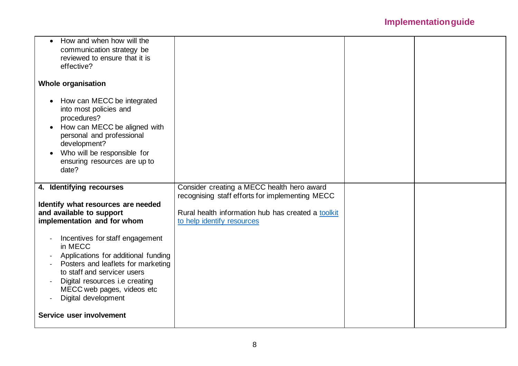| How and when how will the<br>$\bullet$                                                                                                                                                                                                             |                                                    |  |
|----------------------------------------------------------------------------------------------------------------------------------------------------------------------------------------------------------------------------------------------------|----------------------------------------------------|--|
| communication strategy be                                                                                                                                                                                                                          |                                                    |  |
| reviewed to ensure that it is                                                                                                                                                                                                                      |                                                    |  |
| effective?                                                                                                                                                                                                                                         |                                                    |  |
| <b>Whole organisation</b>                                                                                                                                                                                                                          |                                                    |  |
| How can MECC be integrated<br>$\bullet$<br>into most policies and<br>procedures?<br>How can MECC be aligned with<br>$\bullet$<br>personal and professional<br>development?<br>Who will be responsible for<br>ensuring resources are up to<br>date? |                                                    |  |
| 4. Identifying recourses                                                                                                                                                                                                                           | Consider creating a MECC health hero award         |  |
|                                                                                                                                                                                                                                                    |                                                    |  |
|                                                                                                                                                                                                                                                    | recognising staff efforts for implementing MECC    |  |
| Identify what resources are needed                                                                                                                                                                                                                 |                                                    |  |
| and available to support                                                                                                                                                                                                                           | Rural health information hub has created a toolkit |  |
| implementation and for whom                                                                                                                                                                                                                        | to help identify resources                         |  |
| Incentives for staff engagement<br>in MECC<br>Applications for additional funding<br>Posters and leaflets for marketing<br>to staff and servicer users<br>Digital resources i.e creating<br>MECC web pages, videos etc<br>Digital development      |                                                    |  |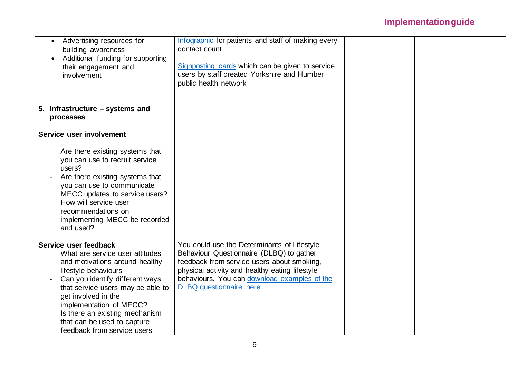| Advertising resources for<br>building awareness<br>Additional funding for supporting<br>their engagement and<br>involvement                                                                                                                                                                                                                  | Infographic for patients and staff of making every<br>contact count<br>Signposting cards which can be given to service<br>users by staff created Yorkshire and Humber<br>public health network                                                                            |  |
|----------------------------------------------------------------------------------------------------------------------------------------------------------------------------------------------------------------------------------------------------------------------------------------------------------------------------------------------|---------------------------------------------------------------------------------------------------------------------------------------------------------------------------------------------------------------------------------------------------------------------------|--|
| 5. Infrastructure – systems and                                                                                                                                                                                                                                                                                                              |                                                                                                                                                                                                                                                                           |  |
| processes                                                                                                                                                                                                                                                                                                                                    |                                                                                                                                                                                                                                                                           |  |
| Service user involvement                                                                                                                                                                                                                                                                                                                     |                                                                                                                                                                                                                                                                           |  |
| Are there existing systems that<br>you can use to recruit service<br>users?<br>Are there existing systems that<br>you can use to communicate<br>MECC updates to service users?<br>How will service user<br>recommendations on<br>implementing MECC be recorded<br>and used?                                                                  |                                                                                                                                                                                                                                                                           |  |
| Service user feedback<br>What are service user attitudes<br>and motivations around healthy<br>lifestyle behaviours<br>Can you identify different ways<br>that service users may be able to<br>get involved in the<br>implementation of MECC?<br>Is there an existing mechanism<br>that can be used to capture<br>feedback from service users | You could use the Determinants of Lifestyle<br>Behaviour Questionnaire (DLBQ) to gather<br>feedback from service users about smoking,<br>physical activity and healthy eating lifestyle<br>behaviours. You can download examples of the<br><b>DLBQ</b> questionnaire here |  |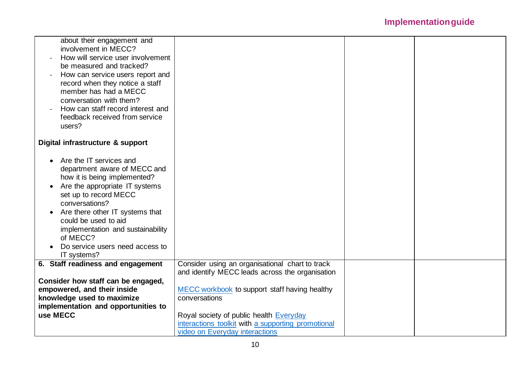| about their engagement and<br>involvement in MECC?<br>How will service user involvement<br>be measured and tracked?<br>How can service users report and<br>record when they notice a staff<br>member has had a MECC<br>conversation with them?<br>How can staff record interest and<br>feedback received from service<br>users?                 |                                                                                                                                                                                                                                                                                                         |  |
|-------------------------------------------------------------------------------------------------------------------------------------------------------------------------------------------------------------------------------------------------------------------------------------------------------------------------------------------------|---------------------------------------------------------------------------------------------------------------------------------------------------------------------------------------------------------------------------------------------------------------------------------------------------------|--|
| Digital infrastructure & support                                                                                                                                                                                                                                                                                                                |                                                                                                                                                                                                                                                                                                         |  |
| Are the IT services and<br>department aware of MECC and<br>how it is being implemented?<br>Are the appropriate IT systems<br>$\bullet$<br>set up to record MECC<br>conversations?<br>Are there other IT systems that<br>could be used to aid<br>implementation and sustainability<br>of MECC?<br>Do service users need access to<br>IT systems? |                                                                                                                                                                                                                                                                                                         |  |
| 6. Staff readiness and engagement<br>Consider how staff can be engaged,<br>empowered, and their inside<br>knowledge used to maximize<br>implementation and opportunities to<br>use MECC                                                                                                                                                         | Consider using an organisational chart to track<br>and identify MECC leads across the organisation<br>MECC workbook to support staff having healthy<br>conversations<br>Royal society of public health Everyday<br>interactions toolkit with a supporting promotional<br>video on Everyday interactions |  |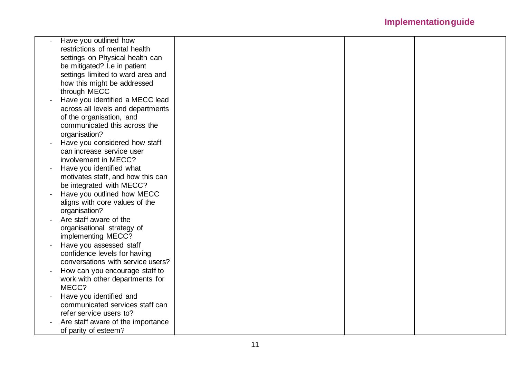| Have you outlined how             |  |
|-----------------------------------|--|
| restrictions of mental health     |  |
| settings on Physical health can   |  |
| be mitigated? I.e in patient      |  |
| settings limited to ward area and |  |
| how this might be addressed       |  |
| through MECC                      |  |
| Have you identified a MECC lead   |  |
| across all levels and departments |  |
| of the organisation, and          |  |
| communicated this across the      |  |
| organisation?                     |  |
| Have you considered how staff     |  |
| can increase service user         |  |
| involvement in MECC?              |  |
| Have you identified what          |  |
| motivates staff, and how this can |  |
| be integrated with MECC?          |  |
| Have you outlined how MECC        |  |
| aligns with core values of the    |  |
| organisation?                     |  |
| Are staff aware of the            |  |
| organisational strategy of        |  |
| implementing MECC?                |  |
| Have you assessed staff           |  |
| confidence levels for having      |  |
| conversations with service users? |  |
| How can you encourage staff to    |  |
| work with other departments for   |  |
| MECC?                             |  |
| Have you identified and           |  |
| communicated services staff can   |  |
| refer service users to?           |  |
| Are staff aware of the importance |  |
| of parity of esteem?              |  |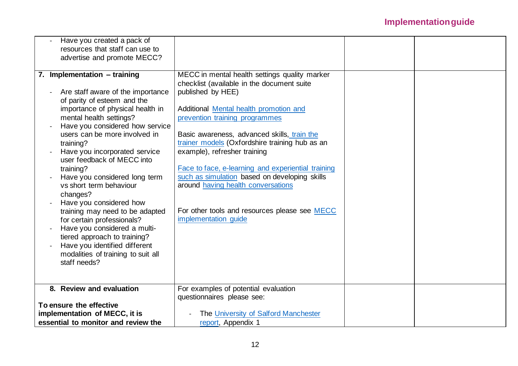| Have you created a pack of          |                                                    |  |
|-------------------------------------|----------------------------------------------------|--|
| resources that staff can use to     |                                                    |  |
| advertise and promote MECC?         |                                                    |  |
|                                     |                                                    |  |
| 7. Implementation - training        | MECC in mental health settings quality marker      |  |
|                                     | checklist (available in the document suite         |  |
| Are staff aware of the importance   | published by HEE)                                  |  |
| of parity of esteem and the         |                                                    |  |
| importance of physical health in    | Additional Mental health promotion and             |  |
| mental health settings?             | prevention training programmes                     |  |
| Have you considered how service     |                                                    |  |
| users can be more involved in       | Basic awareness, advanced skills, train the        |  |
| training?                           | trainer models (Oxfordshire training hub as an     |  |
| Have you incorporated service       | example), refresher training                       |  |
| user feedback of MECC into          |                                                    |  |
| training?                           | Face to face, e-learning and experiential training |  |
| Have you considered long term       | such as simulation based on developing skills      |  |
| vs short term behaviour             | around having health conversations                 |  |
|                                     |                                                    |  |
| changes?                            |                                                    |  |
| Have you considered how             |                                                    |  |
| training may need to be adapted     | For other tools and resources please see MECC      |  |
| for certain professionals?          | implementation guide                               |  |
| Have you considered a multi-        |                                                    |  |
| tiered approach to training?        |                                                    |  |
| Have you identified different       |                                                    |  |
| modalities of training to suit all  |                                                    |  |
| staff needs?                        |                                                    |  |
|                                     |                                                    |  |
|                                     |                                                    |  |
| 8. Review and evaluation            | For examples of potential evaluation               |  |
|                                     | questionnaires please see:                         |  |
| To ensure the effective             |                                                    |  |
| implementation of MECC, it is       | The University of Salford Manchester               |  |
| essential to monitor and review the | report, Appendix 1                                 |  |